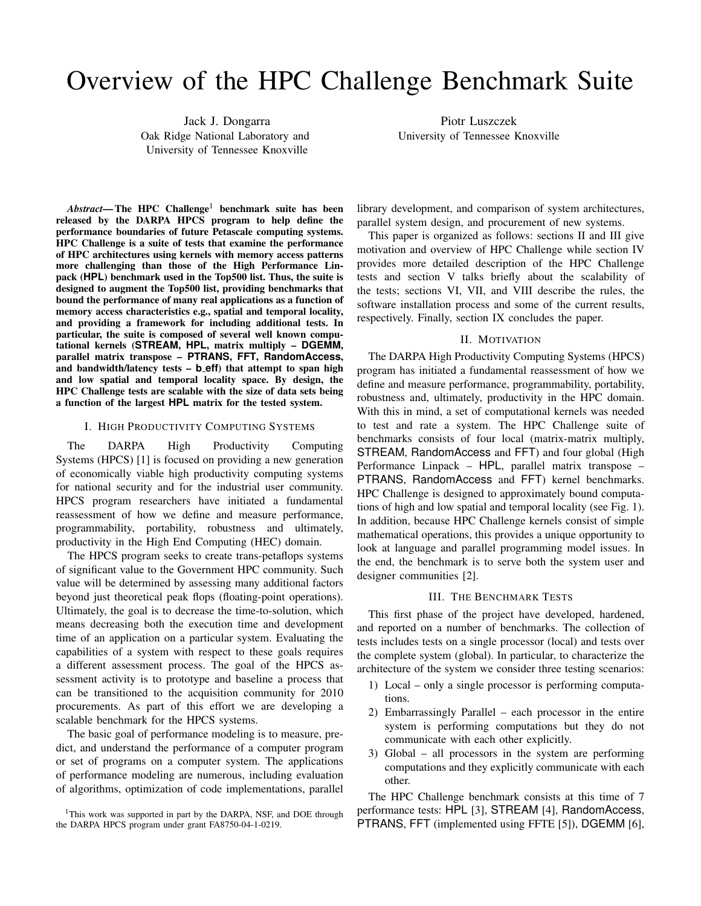# Overview of the HPC Challenge Benchmark Suite

Jack J. Dongarra Oak Ridge National Laboratory and University of Tennessee Knoxville

Piotr Luszczek University of Tennessee Knoxville

 $Abstract$ — The HPC Challenge<sup>1</sup> benchmark suite has been released by the DARPA HPCS program to help define the performance boundaries of future Petascale computing systems. HPC Challenge is a suite of tests that examine the performance of HPC architectures using kernels with memory access patterns more challenging than those of the High Performance Linpack (**HPL**) benchmark used in the Top500 list. Thus, the suite is designed to augment the Top500 list, providing benchmarks that bound the performance of many real applications as a function of memory access characteristics e.g., spatial and temporal locality, and providing a framework for including additional tests. In particular, the suite is composed of several well known computational kernels (**STREAM**, **HPL**, matrix multiply – **DGEMM**, parallel matrix transpose – **PTRANS**, **FFT**, **RandomAccess**, and bandwidth/latency tests – **b eff**) that attempt to span high and low spatial and temporal locality space. By design, the HPC Challenge tests are scalable with the size of data sets being a function of the largest **HPL** matrix for the tested system.

## I. HIGH PRODUCTIVITY COMPUTING SYSTEMS

The DARPA High Productivity Computing Systems (HPCS) [1] is focused on providing a new generation of economically viable high productivity computing systems for national security and for the industrial user community. HPCS program researchers have initiated a fundamental reassessment of how we define and measure performance, programmability, portability, robustness and ultimately, productivity in the High End Computing (HEC) domain.

The HPCS program seeks to create trans-petaflops systems of significant value to the Government HPC community. Such value will be determined by assessing many additional factors beyond just theoretical peak flops (floating-point operations). Ultimately, the goal is to decrease the time-to-solution, which means decreasing both the execution time and development time of an application on a particular system. Evaluating the capabilities of a system with respect to these goals requires a different assessment process. The goal of the HPCS assessment activity is to prototype and baseline a process that can be transitioned to the acquisition community for 2010 procurements. As part of this effort we are developing a scalable benchmark for the HPCS systems.

The basic goal of performance modeling is to measure, predict, and understand the performance of a computer program or set of programs on a computer system. The applications of performance modeling are numerous, including evaluation of algorithms, optimization of code implementations, parallel

library development, and comparison of system architectures, parallel system design, and procurement of new systems.

This paper is organized as follows: sections II and III give motivation and overview of HPC Challenge while section IV provides more detailed description of the HPC Challenge tests and section V talks briefly about the scalability of the tests; sections VI, VII, and VIII describe the rules, the software installation process and some of the current results, respectively. Finally, section IX concludes the paper.

## II. MOTIVATION

The DARPA High Productivity Computing Systems (HPCS) program has initiated a fundamental reassessment of how we define and measure performance, programmability, portability, robustness and, ultimately, productivity in the HPC domain. With this in mind, a set of computational kernels was needed to test and rate a system. The HPC Challenge suite of benchmarks consists of four local (matrix-matrix multiply, STREAM, RandomAccess and FFT) and four global (High Performance Linpack – HPL, parallel matrix transpose – PTRANS, RandomAccess and FFT) kernel benchmarks. HPC Challenge is designed to approximately bound computations of high and low spatial and temporal locality (see Fig. 1). In addition, because HPC Challenge kernels consist of simple mathematical operations, this provides a unique opportunity to look at language and parallel programming model issues. In the end, the benchmark is to serve both the system user and designer communities [2].

## III. THE BENCHMARK TESTS

This first phase of the project have developed, hardened, and reported on a number of benchmarks. The collection of tests includes tests on a single processor (local) and tests over the complete system (global). In particular, to characterize the architecture of the system we consider three testing scenarios:

- 1) Local only a single processor is performing computations.
- 2) Embarrassingly Parallel each processor in the entire system is performing computations but they do not communicate with each other explicitly.
- 3) Global all processors in the system are performing computations and they explicitly communicate with each other.

The HPC Challenge benchmark consists at this time of 7 performance tests: HPL [3], STREAM [4], RandomAccess, PTRANS, FFT (implemented using FFTE [5]), DGEMM [6],

<sup>&</sup>lt;sup>1</sup>This work was supported in part by the DARPA, NSF, and DOE through the DARPA HPCS program under grant FA8750-04-1-0219.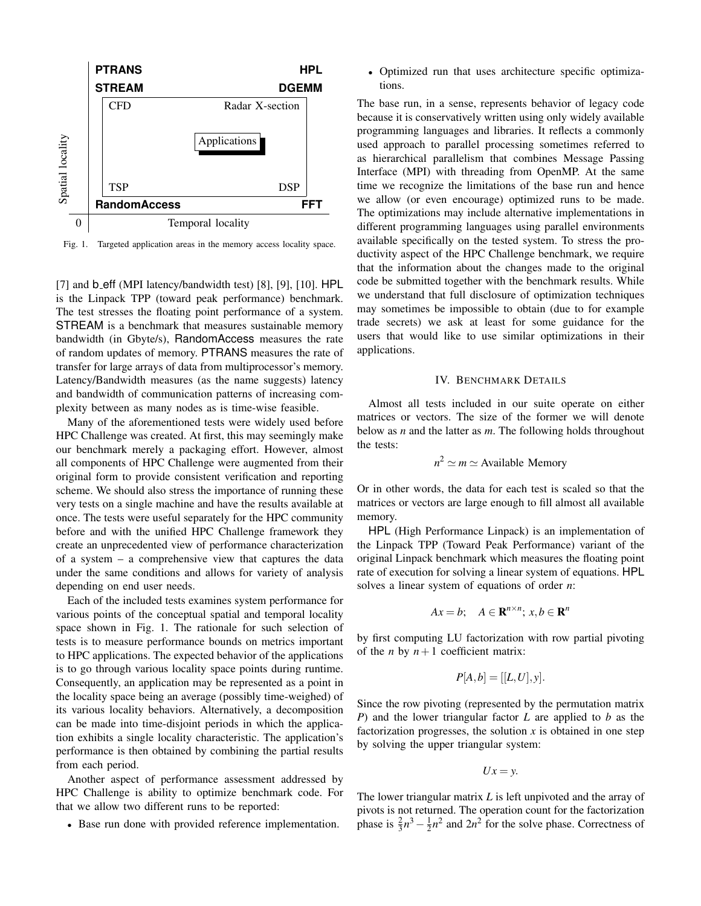

Fig. 1. Targeted application areas in the memory access locality space.

[7] and  $b$  eff (MPI latency/bandwidth test) [8], [9], [10].  $HPL$ is the Linpack TPP (toward peak performance) benchmark. The test stresses the floating point performance of a system. STREAM is a benchmark that measures sustainable memory bandwidth (in Gbyte/s), RandomAccess measures the rate of random updates of memory. PTRANS measures the rate of transfer for large arrays of data from multiprocessor's memory. Latency/Bandwidth measures (as the name suggests) latency and bandwidth of communication patterns of increasing complexity between as many nodes as is time-wise feasible.

Many of the aforementioned tests were widely used before HPC Challenge was created. At first, this may seemingly make our benchmark merely a packaging effort. However, almost all components of HPC Challenge were augmented from their original form to provide consistent verification and reporting scheme. We should also stress the importance of running these very tests on a single machine and have the results available at once. The tests were useful separately for the HPC community before and with the unified HPC Challenge framework they create an unprecedented view of performance characterization of a system – a comprehensive view that captures the data under the same conditions and allows for variety of analysis depending on end user needs.

Each of the included tests examines system performance for various points of the conceptual spatial and temporal locality space shown in Fig. 1. The rationale for such selection of tests is to measure performance bounds on metrics important to HPC applications. The expected behavior of the applications is to go through various locality space points during runtime. Consequently, an application may be represented as a point in the locality space being an average (possibly time-weighed) of its various locality behaviors. Alternatively, a decomposition can be made into time-disjoint periods in which the application exhibits a single locality characteristic. The application's performance is then obtained by combining the partial results from each period.

Another aspect of performance assessment addressed by HPC Challenge is ability to optimize benchmark code. For that we allow two different runs to be reported:

• Base run done with provided reference implementation.

• Optimized run that uses architecture specific optimizations.

The base run, in a sense, represents behavior of legacy code because it is conservatively written using only widely available programming languages and libraries. It reflects a commonly used approach to parallel processing sometimes referred to as hierarchical parallelism that combines Message Passing Interface (MPI) with threading from OpenMP. At the same time we recognize the limitations of the base run and hence we allow (or even encourage) optimized runs to be made. The optimizations may include alternative implementations in different programming languages using parallel environments available specifically on the tested system. To stress the productivity aspect of the HPC Challenge benchmark, we require that the information about the changes made to the original code be submitted together with the benchmark results. While we understand that full disclosure of optimization techniques may sometimes be impossible to obtain (due to for example trade secrets) we ask at least for some guidance for the users that would like to use similar optimizations in their applications.

#### IV. BENCHMARK DETAILS

Almost all tests included in our suite operate on either matrices or vectors. The size of the former we will denote below as *n* and the latter as *m*. The following holds throughout the tests:

$$
n^2 \simeq m \simeq
$$
 Available Memory

Or in other words, the data for each test is scaled so that the matrices or vectors are large enough to fill almost all available memory.

HPL (High Performance Linpack) is an implementation of the Linpack TPP (Toward Peak Performance) variant of the original Linpack benchmark which measures the floating point rate of execution for solving a linear system of equations. HPL solves a linear system of equations of order *n*:

$$
Ax = b; \quad A \in \mathbf{R}^{n \times n}; \, x, b \in \mathbf{R}^n
$$

by first computing LU factorization with row partial pivoting of the *n* by  $n+1$  coefficient matrix:

$$
P[A,b] = [[L,U],y].
$$

Since the row pivoting (represented by the permutation matrix *P*) and the lower triangular factor *L* are applied to *b* as the factorization progresses, the solution  $x$  is obtained in one step by solving the upper triangular system:

$$
Ux=y.
$$

The lower triangular matrix *L* is left unpivoted and the array of pivots is not returned. The operation count for the factorization phase is  $\frac{2}{3}n^3 - \frac{1}{2}n^2$  and  $2n^2$  for the solve phase. Correctness of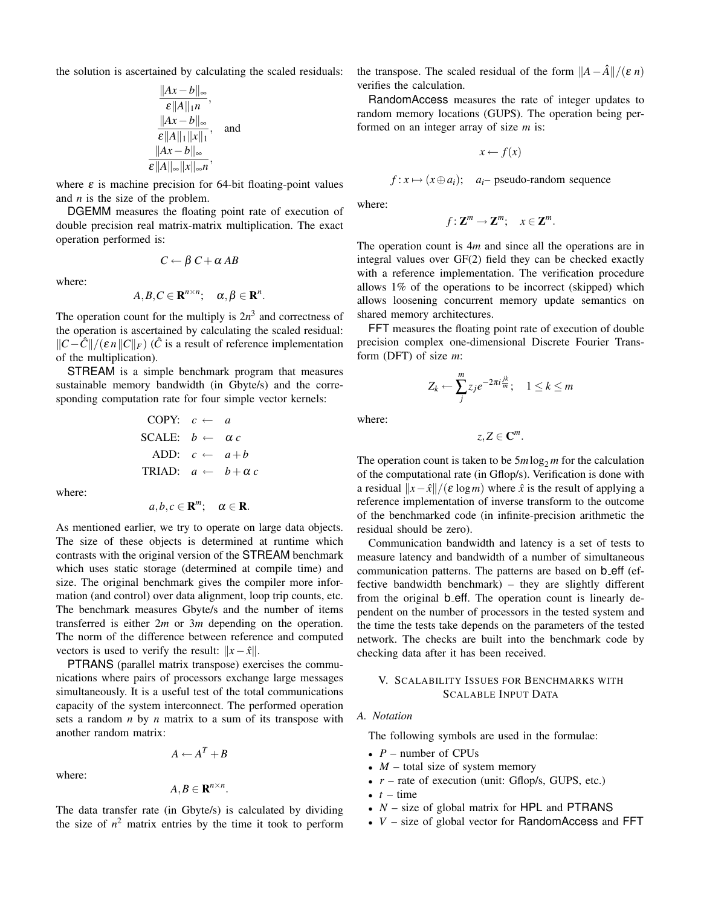the solution is ascertained by calculating the scaled residuals:

$$
\frac{\|Ax - b\|_{\infty}}{\varepsilon \|A\|_{1} n},
$$
  

$$
\frac{\|Ax - b\|_{\infty}}{\varepsilon \|A\|_{1} \|x\|_{1}},
$$
 and  

$$
\frac{\|Ax - b\|_{\infty}}{\varepsilon \|A\|_{\infty} \|x\|_{\infty} n},
$$

where  $\varepsilon$  is machine precision for 64-bit floating-point values and *n* is the size of the problem.

DGEMM measures the floating point rate of execution of double precision real matrix-matrix multiplication. The exact operation performed is:

 $C \leftarrow \beta C + \alpha AB$ 

where:

$$
A,B,C \in \mathbf{R}^{n \times n}; \quad \alpha, \beta \in \mathbf{R}^n
$$

.

The operation count for the multiply is  $2n<sup>3</sup>$  and correctness of the operation is ascertained by calculating the scaled residual: *K*<sup>−</sup>*C*<sup>π</sup> *C*<sup>−</sup>*C*<sup>π</sup> *(C*<sup>†</sup> *C*<sup> $\in$ </sup> *C*<sup> $\in$ </sup> *C*<sup> $\in$ </sup> *C*<sup> $\in$ </sup> *C*<sup> $\in$ </sup> *C*<sup> $\in$ </sup> *C*<sup> $\in$ </sup> *C*<sup> $\in$ </sup> *C*<sup> $\in$ </sup> *C*<sup> $\in$ </sup> *C*<sup> $\in$ </sup> *C*<sup> $\in$ </sup> *C*<sup> $\in$ </sup> *C*<sup> $\in$ </sup> *C*<sup> $\in$ </sup> *C*<sup> $\in$ </sup> *C*<sup> $\in$ </sup> *C*<sup> $\in$ </sup> *C*<sup> $\$ of the multiplication).

STREAM is a simple benchmark program that measures sustainable memory bandwidth (in Gbyte/s) and the corresponding computation rate for four simple vector kernels:

COPY:

\n
$$
c \leftarrow a
$$
\nSCALE:

\n
$$
b \leftarrow \alpha c
$$
\nADD:

\n
$$
c \leftarrow a + b
$$
\nTRIAD:

\n
$$
a \leftarrow b + \alpha c
$$

where:

$$
a,b,c\in\mathbf{R}^m;\quad\alpha\in\mathbf{R}.
$$

As mentioned earlier, we try to operate on large data objects. The size of these objects is determined at runtime which contrasts with the original version of the STREAM benchmark which uses static storage (determined at compile time) and size. The original benchmark gives the compiler more information (and control) over data alignment, loop trip counts, etc. The benchmark measures Gbyte/s and the number of items transferred is either 2*m* or 3*m* depending on the operation. The norm of the difference between reference and computed vectors is used to verify the result:  $||x - \hat{x}||$ .

PTRANS (parallel matrix transpose) exercises the communications where pairs of processors exchange large messages simultaneously. It is a useful test of the total communications capacity of the system interconnect. The performed operation sets a random *n* by *n* matrix to a sum of its transpose with another random matrix:

where:

$$
A, B \in \mathbf{R}^{n \times n}.
$$

 $A \leftarrow A^T + B$ 

The data transfer rate (in Gbyte/s) is calculated by dividing the size of  $n^2$  matrix entries by the time it took to perform the transpose. The scaled residual of the form  $||A - \hat{A}||/(\varepsilon n)$ verifies the calculation.

RandomAccess measures the rate of integer updates to random memory locations (GUPS). The operation being performed on an integer array of size *m* is:

$$
x \leftarrow f(x)
$$

 $f: x \mapsto (x \oplus a_i); \quad a_i$ – pseudo-random sequence

where:

$$
f: \mathbf{Z}^m \to \mathbf{Z}^m; \quad x \in \mathbf{Z}^m.
$$

The operation count is 4*m* and since all the operations are in integral values over GF(2) field they can be checked exactly with a reference implementation. The verification procedure allows 1% of the operations to be incorrect (skipped) which allows loosening concurrent memory update semantics on shared memory architectures.

FFT measures the floating point rate of execution of double precision complex one-dimensional Discrete Fourier Transform (DFT) of size *m*:

$$
Z_k \leftarrow \sum_{j}^{m} z_j e^{-2\pi i \frac{jk}{m}}; \quad 1 \le k \le m
$$

where:

$$
z,Z\in\mathbf{C}^m.
$$

The operation count is taken to be  $5m \log_2 m$  for the calculation of the computational rate (in Gflop/s). Verification is done with a residual  $||x - \hat{x}|| / (\varepsilon \log m)$  where  $\hat{x}$  is the result of applying a reference implementation of inverse transform to the outcome of the benchmarked code (in infinite-precision arithmetic the residual should be zero).

Communication bandwidth and latency is a set of tests to measure latency and bandwidth of a number of simultaneous communication patterns. The patterns are based on **b** eff (effective bandwidth benchmark) – they are slightly different from the original b\_eff. The operation count is linearly dependent on the number of processors in the tested system and the time the tests take depends on the parameters of the tested network. The checks are built into the benchmark code by checking data after it has been received.

# V. SCALABILITY ISSUES FOR BENCHMARKS WITH SCALABLE INPUT DATA

# *A. Notation*

The following symbols are used in the formulae:

- *P* number of CPUs
- $M$  total size of system memory
- $\bullet$   $r$  rate of execution (unit: Gflop/s, GUPS, etc.)
- $\bullet$  *t* time
- $N size$  of global matrix for HPL and PTRANS
- *V* size of global vector for RandomAccess and FFT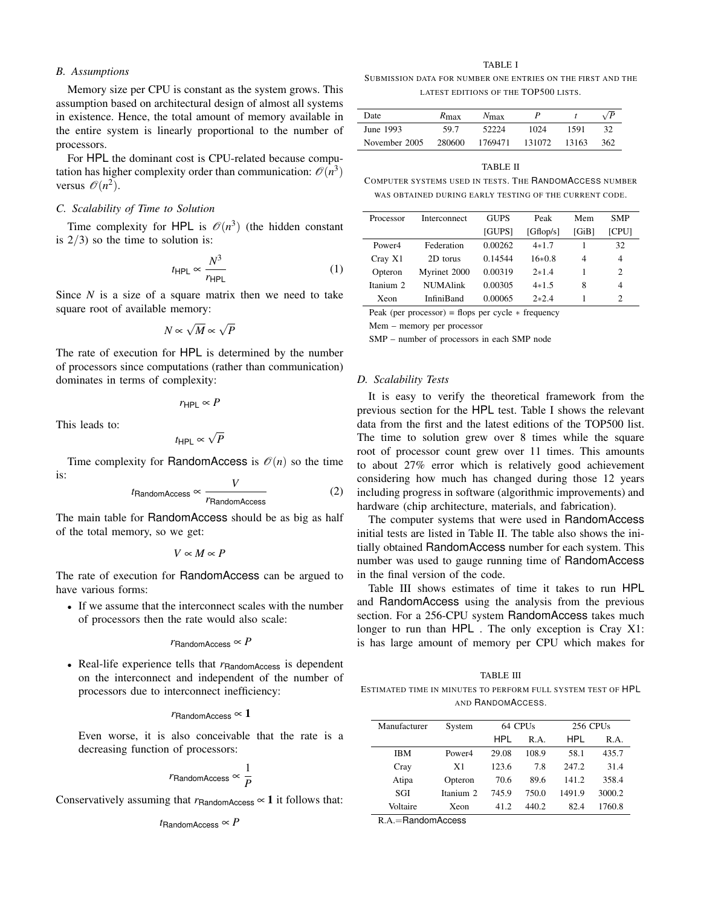## *B. Assumptions*

Memory size per CPU is constant as the system grows. This assumption based on architectural design of almost all systems in existence. Hence, the total amount of memory available in the entire system is linearly proportional to the number of processors.

For HPL the dominant cost is CPU-related because computation has higher complexity order than communication:  $\mathcal{O}(n^3)$ versus  $\mathcal{O}(n^2)$ .

## *C. Scalability of Time to Solution*

Time complexity for HPL is  $\mathcal{O}(n^3)$  (the hidden constant is  $2/3$ ) so the time to solution is:

$$
t_{\rm HPL} \propto \frac{N^3}{r_{\rm HPL}}\tag{1}
$$

Since *N* is a size of a square matrix then we need to take square root of available memory:

$$
N \propto \sqrt{M} \propto \sqrt{P}
$$

The rate of execution for HPL is determined by the number of processors since computations (rather than communication) dominates in terms of complexity:

$$
r_{\text{HPL}} \propto P
$$

This leads to:

$$
t_{\text{HPL}} \propto \sqrt{P}
$$

Time complexity for RandomAccess is  $\mathcal{O}(n)$  so the time is:

$$
t_{\text{RandomAccess}} \propto \frac{V}{r_{\text{RandomAccess}}}
$$
 (2)

The main table for RandomAccess should be as big as half of the total memory, so we get:

$$
V\propto M\propto P
$$

The rate of execution for RandomAccess can be argued to have various forms:

• If we assume that the interconnect scales with the number of processors then the rate would also scale:

## $r$ RandomAccess  $\propto$   $P$

• Real-life experience tells that  $r_{\text{RandomAccess}}$  is dependent on the interconnect and independent of the number of processors due to interconnect inefficiency:

$$
r_{\text{RandomAccess}} \propto 1
$$

Even worse, it is also conceivable that the rate is a decreasing function of processors:

$$
r_{\text{RandomAccess}} \propto \frac{1}{P}
$$

Conservatively assuming that  $r_{\text{RandomAccess}} \propto 1$  it follows that:

$$
t_{\text{RandomAccess}} \propto P
$$

SUBMISSION DATA FOR NUMBER ONE ENTRIES ON THE FIRST AND THE

LATEST EDITIONS OF THE TOP500 LISTS.

TABLE I

| Date          | Rmax   | $N_{\rm max}$ |        |       |     |
|---------------|--------|---------------|--------|-------|-----|
| June 1993     | 59.7   | 52224         | 1024   | 1591  | 32  |
| November 2005 | 280600 | 1769471       | 131072 | 13163 | 362 |

#### TABLE II

COMPUTER SYSTEMS USED IN TESTS. THE RANDOMACCESS NUMBER WAS OBTAINED DURING EARLY TESTING OF THE CURRENT CODE.

| Processor | Interconnect | <b>GUPS</b>   | Peak      | Mem   | <b>SMP</b>    |  |
|-----------|--------------|---------------|-----------|-------|---------------|--|
|           |              | <b>IGUPS1</b> | [Gflop/s] | [GiB] | [CPU]         |  |
| Power4    | Federation   | 0.00262       | $4*1.7$   |       | 32            |  |
| Cray X1   | 2D torus     | 0.14544       | $16*0.8$  | 4     | 4             |  |
| Opteron   | Myrinet 2000 | 0.00319       | $2*1.4$   |       | 2             |  |
| Itanium 2 | NUMAlink     | 0.00305       | $4*1.5$   | 8     | 4             |  |
| Xeon      | InfiniBand   | 0.00065       | $2*24$    |       | $\mathcal{D}$ |  |

Peak (per processor) = flops per cycle ∗ frequency

Mem – memory per processor

SMP – number of processors in each SMP node

### *D. Scalability Tests*

It is easy to verify the theoretical framework from the previous section for the HPL test. Table I shows the relevant data from the first and the latest editions of the TOP500 list. The time to solution grew over 8 times while the square root of processor count grew over 11 times. This amounts to about 27% error which is relatively good achievement considering how much has changed during those 12 years including progress in software (algorithmic improvements) and hardware (chip architecture, materials, and fabrication).

The computer systems that were used in RandomAccess initial tests are listed in Table II. The table also shows the initially obtained RandomAccess number for each system. This number was used to gauge running time of RandomAccess in the final version of the code.

Table III shows estimates of time it takes to run HPL and RandomAccess using the analysis from the previous section. For a 256-CPU system RandomAccess takes much longer to run than HPL. The only exception is Cray X1: is has large amount of memory per CPU which makes for

TABLE III ESTIMATED TIME IN MINUTES TO PERFORM FULL SYSTEM TEST OF HPL AND RANDOMACCESS.

| Manufacturer | System    |       | 64 CPUs | 256 CPUs |        |  |
|--------------|-----------|-------|---------|----------|--------|--|
|              |           | HPI   | R.A.    | HPI      | R.A.   |  |
| IBM          | Power4    | 29.08 | 108.9   | 58.1     | 435.7  |  |
| Cray         | X1        | 123.6 | 7.8     | 247.2    | 31.4   |  |
| Atipa        | Opteron   | 70.6  | 89.6    | 141.2    | 358.4  |  |
| SGI          | Itanium 2 | 745.9 | 750.0   | 1491.9   | 3000.2 |  |
| Voltaire     | Xeon      | 41.2  | 440.2   | 82.4     | 1760.8 |  |

R.A.=RandomAccess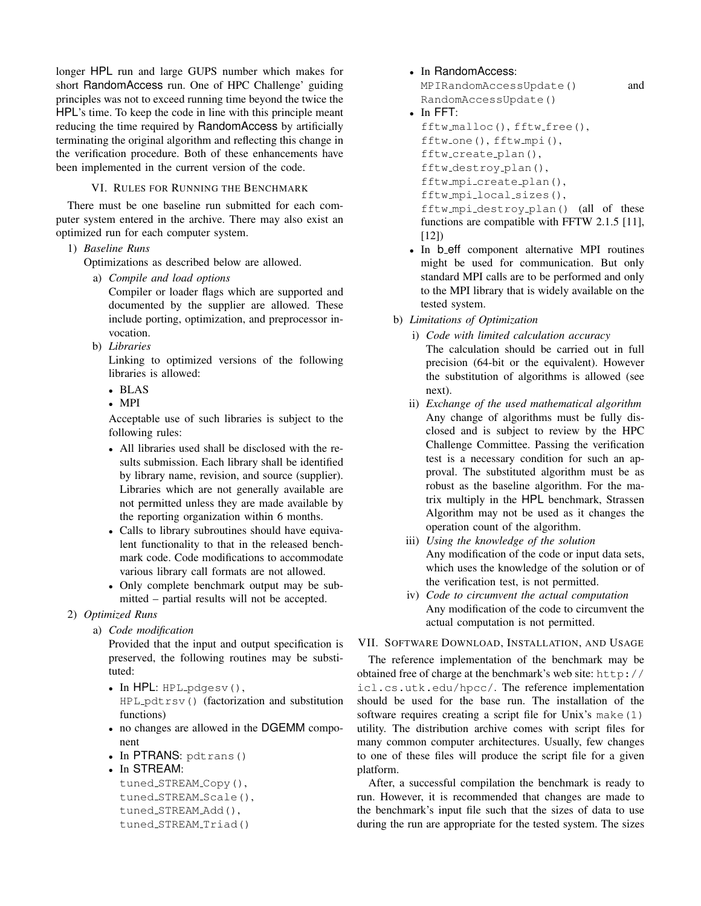longer HPL run and large GUPS number which makes for short RandomAccess run. One of HPC Challenge' guiding principles was not to exceed running time beyond the twice the HPL's time. To keep the code in line with this principle meant reducing the time required by RandomAccess by artificially terminating the original algorithm and reflecting this change in the verification procedure. Both of these enhancements have been implemented in the current version of the code.

# VI. RULES FOR RUNNING THE BENCHMARK

There must be one baseline run submitted for each computer system entered in the archive. There may also exist an optimized run for each computer system.

- 1) *Baseline Runs*
	- Optimizations as described below are allowed.
		- a) *Compile and load options*

Compiler or loader flags which are supported and documented by the supplier are allowed. These include porting, optimization, and preprocessor invocation.

b) *Libraries*

Linking to optimized versions of the following libraries is allowed:

- BLAS
- MPI

Acceptable use of such libraries is subject to the following rules:

- All libraries used shall be disclosed with the results submission. Each library shall be identified by library name, revision, and source (supplier). Libraries which are not generally available are not permitted unless they are made available by the reporting organization within 6 months.
- Calls to library subroutines should have equivalent functionality to that in the released benchmark code. Code modifications to accommodate various library call formats are not allowed.
- Only complete benchmark output may be submitted – partial results will not be accepted.

# 2) *Optimized Runs*

a) *Code modification*

Provided that the input and output specification is preserved, the following routines may be substituted:

- $\bullet$  In HPL:  $HPL$ -pdgesv(), HPL pdtrsv() (factorization and substitution functions)
- no changes are allowed in the DGEMM component
- In PTRANS: pdtrans()
- In STREAM:

```
tuned_STREAM_Copy(),
tuned STREAM Scale(),
tuned STREAM Add(),
tuned_STREAM_Triad()
```
- In RandomAccess: MPIRandomAccessUpdate() and RandomAccessUpdate()
- In FFT:

fftw\_malloc(), fftw\_free(), fftw one(), fftw mpi(), fftw create plan(), fftw destroy plan(), fftw mpi create plan(), fftw mpi local sizes(), fftw mpi destroy plan() (all of these functions are compatible with FFTW 2.1.5 [11],

- [12]) • In b\_eff component alternative MPI routines
- might be used for communication. But only standard MPI calls are to be performed and only to the MPI library that is widely available on the tested system.
- b) *Limitations of Optimization*
	- i) *Code with limited calculation accuracy* The calculation should be carried out in full precision (64-bit or the equivalent). However the substitution of algorithms is allowed (see next).
	- ii) *Exchange of the used mathematical algorithm* Any change of algorithms must be fully disclosed and is subject to review by the HPC Challenge Committee. Passing the verification test is a necessary condition for such an approval. The substituted algorithm must be as robust as the baseline algorithm. For the matrix multiply in the HPL benchmark, Strassen Algorithm may not be used as it changes the operation count of the algorithm.
	- iii) *Using the knowledge of the solution* Any modification of the code or input data sets, which uses the knowledge of the solution or of the verification test, is not permitted.
	- iv) *Code to circumvent the actual computation* Any modification of the code to circumvent the actual computation is not permitted.

# VII. SOFTWARE DOWNLOAD, INSTALLATION, AND USAGE

The reference implementation of the benchmark may be obtained free of charge at the benchmark's web site: http:// icl.cs.utk.edu/hpcc/. The reference implementation should be used for the base run. The installation of the software requires creating a script file for Unix's make(1) utility. The distribution archive comes with script files for many common computer architectures. Usually, few changes to one of these files will produce the script file for a given platform.

After, a successful compilation the benchmark is ready to run. However, it is recommended that changes are made to the benchmark's input file such that the sizes of data to use during the run are appropriate for the tested system. The sizes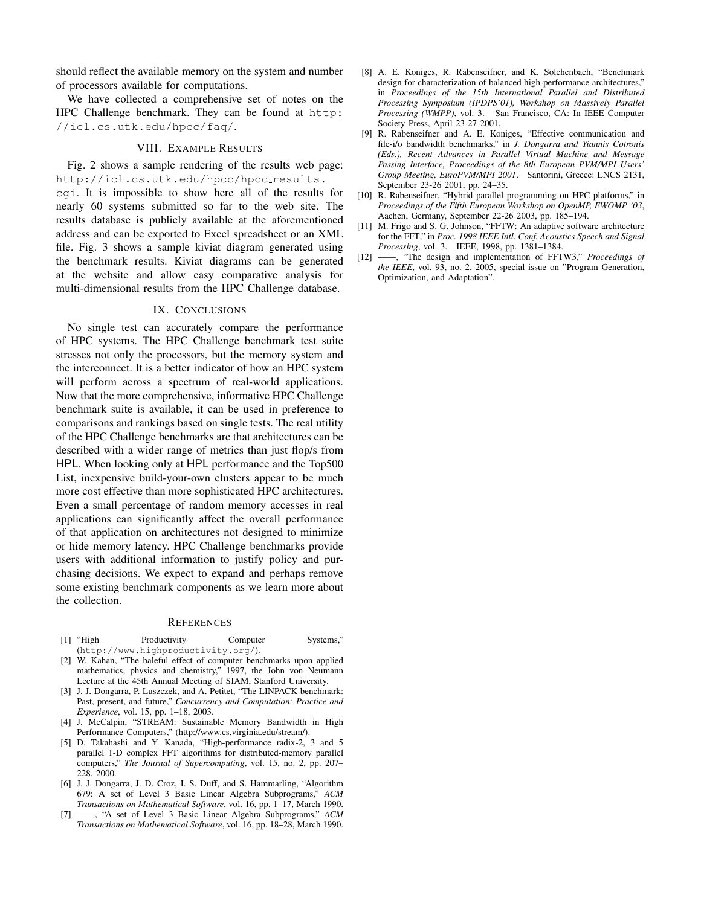should reflect the available memory on the system and number of processors available for computations.

We have collected a comprehensive set of notes on the HPC Challenge benchmark. They can be found at http: //icl.cs.utk.edu/hpcc/faq/.

### VIII. EXAMPLE RESULTS

Fig. 2 shows a sample rendering of the results web page: http://icl.cs.utk.edu/hpcc/hpcc\_results.

cgi. It is impossible to show here all of the results for nearly 60 systems submitted so far to the web site. The results database is publicly available at the aforementioned address and can be exported to Excel spreadsheet or an XML file. Fig. 3 shows a sample kiviat diagram generated using the benchmark results. Kiviat diagrams can be generated at the website and allow easy comparative analysis for multi-dimensional results from the HPC Challenge database.

#### IX. CONCLUSIONS

No single test can accurately compare the performance of HPC systems. The HPC Challenge benchmark test suite stresses not only the processors, but the memory system and the interconnect. It is a better indicator of how an HPC system will perform across a spectrum of real-world applications. Now that the more comprehensive, informative HPC Challenge benchmark suite is available, it can be used in preference to comparisons and rankings based on single tests. The real utility of the HPC Challenge benchmarks are that architectures can be described with a wider range of metrics than just flop/s from HPL. When looking only at HPL performance and the Top500 List, inexpensive build-your-own clusters appear to be much more cost effective than more sophisticated HPC architectures. Even a small percentage of random memory accesses in real applications can significantly affect the overall performance of that application on architectures not designed to minimize or hide memory latency. HPC Challenge benchmarks provide users with additional information to justify policy and purchasing decisions. We expect to expand and perhaps remove some existing benchmark components as we learn more about the collection.

## **REFERENCES**

- [1] "High Productivity Computer Systems," (http://www.highproductivity.org/).
- [2] W. Kahan, "The baleful effect of computer benchmarks upon applied mathematics, physics and chemistry," 1997, the John von Neumann Lecture at the 45th Annual Meeting of SIAM, Stanford University.
- [3] J. J. Dongarra, P. Luszczek, and A. Petitet, "The LINPACK benchmark: Past, present, and future," *Concurrency and Computation: Practice and Experience*, vol. 15, pp. 1–18, 2003.
- [4] J. McCalpin, "STREAM: Sustainable Memory Bandwidth in High Performance Computers," (http://www.cs.virginia.edu/stream/).
- [5] D. Takahashi and Y. Kanada, "High-performance radix-2, 3 and 5 parallel 1-D complex FFT algorithms for distributed-memory parallel computers," *The Journal of Supercomputing*, vol. 15, no. 2, pp. 207– 228, 2000.
- [6] J. J. Dongarra, J. D. Croz, I. S. Duff, and S. Hammarling, "Algorithm 679: A set of Level 3 Basic Linear Algebra Subprograms," *ACM Transactions on Mathematical Software*, vol. 16, pp. 1–17, March 1990.
- [7] ——, "A set of Level 3 Basic Linear Algebra Subprograms," *ACM Transactions on Mathematical Software*, vol. 16, pp. 18–28, March 1990.
- [8] A. E. Koniges, R. Rabenseifner, and K. Solchenbach, "Benchmark design for characterization of balanced high-performance architectures," in *Proceedings of the 15th International Parallel and Distributed Processing Symposium (IPDPS'01), Workshop on Massively Parallel Processing (WMPP)*, vol. 3. San Francisco, CA: In IEEE Computer Society Press, April 23-27 2001.
- [9] R. Rabenseifner and A. E. Koniges, "Effective communication and file-i/o bandwidth benchmarks," in *J. Dongarra and Yiannis Cotronis (Eds.), Recent Advances in Parallel Virtual Machine and Message Passing Interface, Proceedings of the 8th European PVM/MPI Users' Group Meeting, EuroPVM/MPI 2001*. Santorini, Greece: LNCS 2131, September 23-26 2001, pp. 24–35.
- [10] R. Rabenseifner, "Hybrid parallel programming on HPC platforms," in *Proceedings of the Fifth European Workshop on OpenMP, EWOMP '03*, Aachen, Germany, September 22-26 2003, pp. 185–194.
- [11] M. Frigo and S. G. Johnson, "FFTW: An adaptive software architecture for the FFT," in *Proc. 1998 IEEE Intl. Conf. Acoustics Speech and Signal Processing*, vol. 3. IEEE, 1998, pp. 1381–1384.<br>[12] — ..., "The design and implementation of FFT
- $-$ , "The design and implementation of FFTW3," *Proceedings of the IEEE*, vol. 93, no. 2, 2005, special issue on "Program Generation, Optimization, and Adaptation".